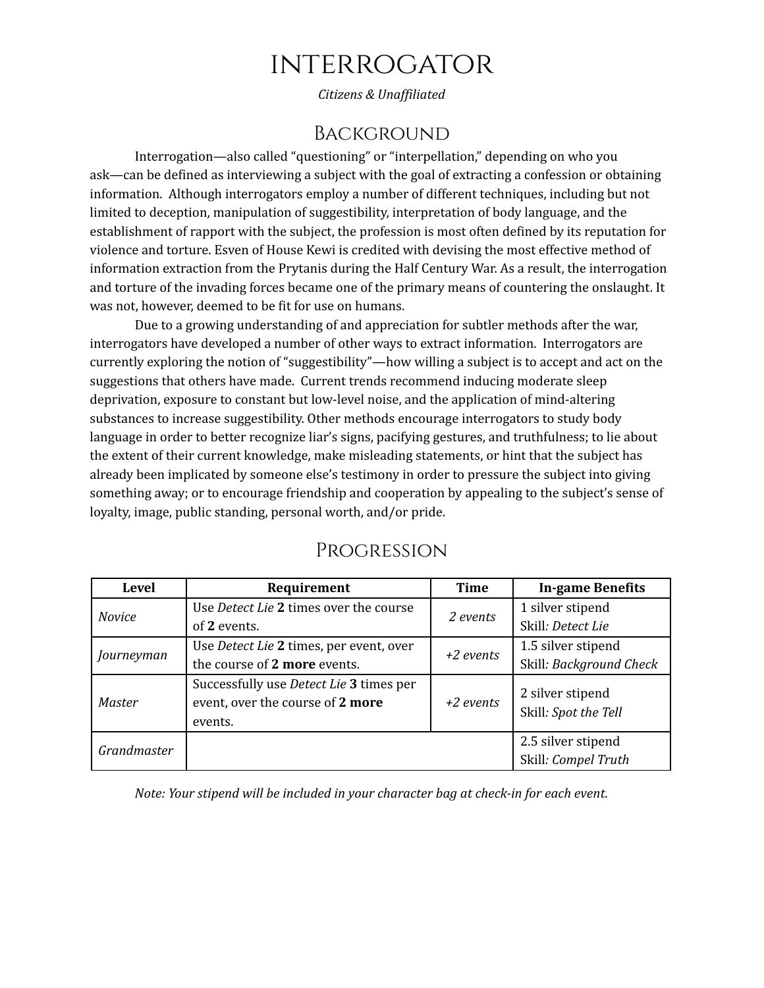## **INTERROGATOR**

*Citizens & Unaf iliated*

## Background

Interrogation—also called "questioning" or "interpellation," depending on who you ask—can be defined as interviewing a subject with the goal of extracting a confession or obtaining information. Although interrogators employ a number of different techniques, including but not limited to deception, manipulation of suggestibility, interpretation of body language, and the establishment of rapport with the subject, the profession is most often defined by its reputation for violence and torture. Esven of House Kewi is credited with devising the most effective method of information extraction from the Prytanis during the Half Century War. As a result, the interrogation and torture of the invading forces became one of the primary means of countering the onslaught. It was not, however, deemed to be fit for use on humans.

Due to a growing understanding of and appreciation for subtler methods after the war, interrogators have developed a number of other ways to extract information. Interrogators are currently exploring the notion of "suggestibility"—how willing a subject is to accept and act on the suggestions that others have made. Current trends recommend inducing moderate sleep deprivation, exposure to constant but low-level noise, and the application of mind-altering substances to increase suggestibility. Other methods encourage interrogators to study body language in order to better recognize liar's signs, pacifying gestures, and truthfulness; to lie about the extent of their current knowledge, make misleading statements, or hint that the subject has already been implicated by someone else's testimony in order to pressure the subject into giving something away; or to encourage friendship and cooperation by appealing to the subject's sense of loyalty, image, public standing, personal worth, and/or pride.

| <b>Level</b>  | Requirement                                    | <b>Time</b> | <b>In-game Benefits</b> |
|---------------|------------------------------------------------|-------------|-------------------------|
| <b>Novice</b> | Use Detect Lie 2 times over the course         | 2 events    | 1 silver stipend        |
|               | of 2 events.                                   |             | Skill: Detect Lie       |
| Journeyman    | Use Detect Lie 2 times, per event, over        | $+2$ events | 1.5 silver stipend      |
|               | the course of 2 more events.                   |             | Skill: Background Check |
| <b>Master</b> | Successfully use <i>Detect Lie</i> 3 times per | $+2$ events | 2 silver stipend        |
|               | event, over the course of 2 more               |             | Skill: Spot the Tell    |
|               | events.                                        |             |                         |
| Grandmaster   |                                                |             | 2.5 silver stipend      |
|               |                                                |             | Skill: Compel Truth     |

## Progression

*Note: Your stipend will be included in your character bag at check-in for each event.*